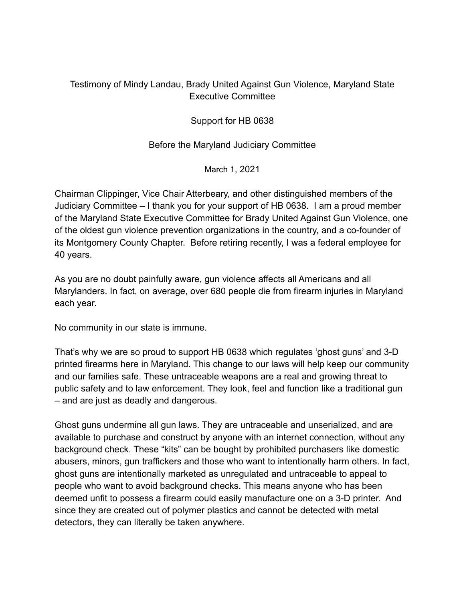## Testimony of Mindy Landau, Brady United Against Gun Violence, Maryland State Executive Committee

Support for HB 0638

Before the Maryland Judiciary Committee

March 1, 2021

Chairman Clippinger, Vice Chair Atterbeary, and other distinguished members of the Judiciary Committee – I thank you for your support of HB 0638. I am a proud member of the Maryland State Executive Committee for Brady United Against Gun Violence, one of the oldest gun violence prevention organizations in the country, and a co-founder of its Montgomery County Chapter. Before retiring recently, I was a federal employee for 40 years.

As you are no doubt painfully aware, gun violence affects all Americans and all Marylanders. In fact, on average, over 680 people die from firearm injuries in Maryland each year.

No community in our state is immune.

That's why we are so proud to support HB 0638 which regulates 'ghost guns' and 3-D printed firearms here in Maryland. This change to our laws will help keep our community and our families safe. These untraceable weapons are a real and growing threat to public safety and to law enforcement. They look, feel and function like a traditional gun – and are just as deadly and dangerous.

Ghost guns undermine all gun laws. They are untraceable and unserialized, and are available to purchase and construct by anyone with an internet connection, without any background check. These "kits" can be bought by prohibited purchasers like domestic abusers, minors, gun traffickers and those who want to intentionally harm others. In fact, ghost guns are intentionally marketed as unregulated and untraceable to appeal to people who want to avoid background checks. This means anyone who has been deemed unfit to possess a firearm could easily manufacture one on a 3-D printer. And since they are created out of polymer plastics and cannot be detected with metal detectors, they can literally be taken anywhere.